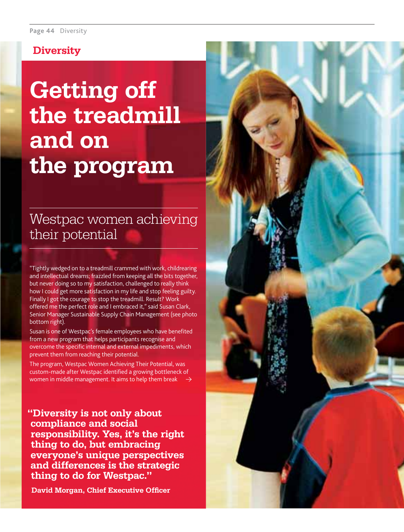#### **Diversity**

# **Getting off the treadmill and on the program**

## Westpac women achieving their potential

"Tightly wedged on to a treadmill crammed with work, childrearing and intellectual dreams; frazzled from keeping all the bits together, but never doing so to my satisfaction, challenged to really think how I could get more satisfaction in my life and stop feeling guilty. Finally I got the courage to stop the treadmill. Result? Work offered me the perfect role and I embraced it," said Susan Clark, Senior Manager Sustainable Supply Chain Management (see photo bottom right).

Susan is one of Westpac's female employees who have benefited from a new program that helps participants recognise and overcome the specific internal and external impediments, which prevent them from reaching their potential.

The program, Westpac Women Achieving Their Potential, was custom-made after Westpac identified a growing bottleneck of women in middle management. It aims to help them break

**"Diversity is not only about compliance and social responsibility. Yes, it's the right thing to do, but embracing everyone's unique perspectives and differences is the strategic thing to do for Westpac."**

**David Morgan, Chief Executive Officer** 

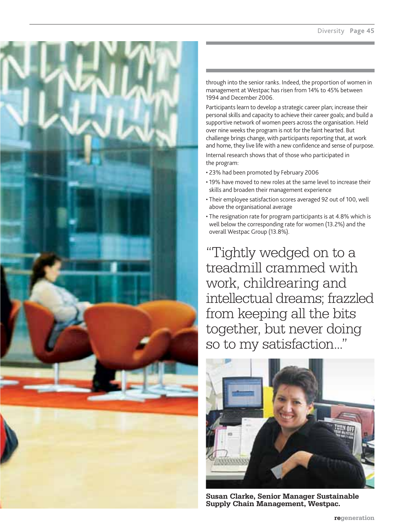

through into the senior ranks. Indeed, the proportion of women in management at Westpac has risen from 14% to 45% between 1994 and December 2006.

Participants learn to develop a strategic career plan; increase their personal skills and capacity to achieve their career goals; and build a supportive network of women peers across the organisation. Held over nine weeks the program is not for the faint hearted. But challenge brings change, with participants reporting that, at work and home, they live life with a new confidence and sense of purpose. Internal research shows that of those who participated in the program:

- 23% had been promoted by February 2006
- 19% have moved to new roles at the same level to increase their skills and broaden their management experience
- Their employee satisfaction scores averaged 92 out of 100, well above the organisational average
- The resignation rate for program participants is at 4.8% which is well below the corresponding rate for women (13.2%) and the overall Westpac Group (13.8%).

"Tightly wedged on to a treadmill crammed with work, childrearing and intellectual dreams; frazzled from keeping all the bits together, but never doing so to my satisfaction..."



**Susan Clarke, Senior Manager Sustainable Supply Chain Management, Westpac.**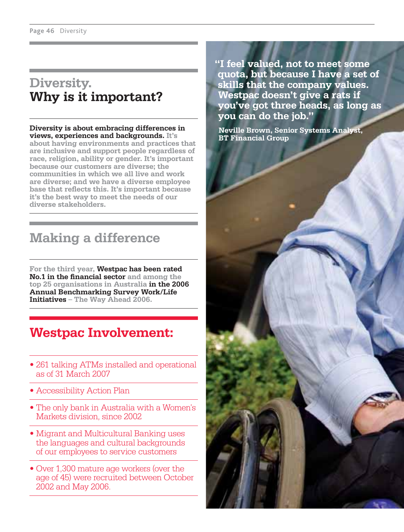#### **Diversity. Why is it important?**

**Diversity is about embracing differences in views, experiences and backgrounds. It's about having environments and practices that are inclusive and support people regardless of race, religion, ability or gender. It's important because our customers are diverse; the communities in which we all live and work are diverse; and we have a diverse employee**  base that reflects this. It's important because **it's the best way to meet the needs of our diverse stakeholders.** 

### **Making a difference**

**For the third year, Westpac has been rated No.1 in the financial sector and among the top 25 organisations in Australia in the 2006 Annual Benchmarking Survey Work/Life Initiatives – The Way Ahead 2006.**

### **Westpac Involvement:**

- 261 talking ATMs installed and operational as of 31 March 2007
- Accessibility Action Plan
- The only bank in Australia with a Women's Markets division, since 2002
- Migrant and Multicultural Banking uses the languages and cultural backgrounds of our employees to service customers
- Over 1,300 mature age workers (over the age of 45) were recruited between October 2002 and May 2006.

**"I feel valued, not to meet some quota, but because I have a set of skills that the company values. Westpac doesn't give a rats if you've got three heads, as long as you can do the job."**

**Neville Brown, Senior Systems Analyst, BT Financial Group**